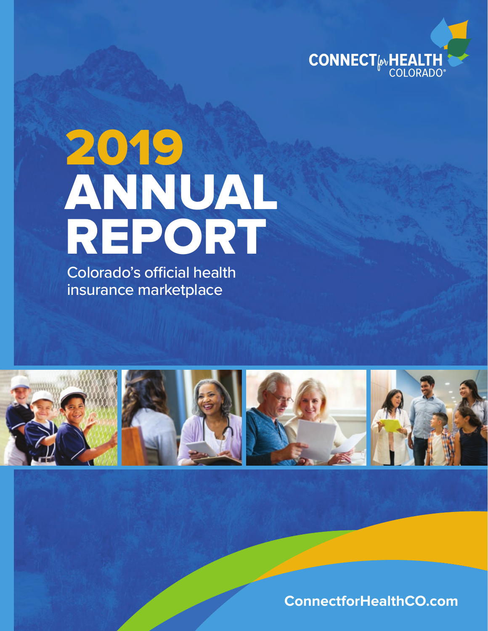

# 2019 ANNUAL REPORT

Colorado's official health insurance marketplace



**ConnectforHealthCO.com**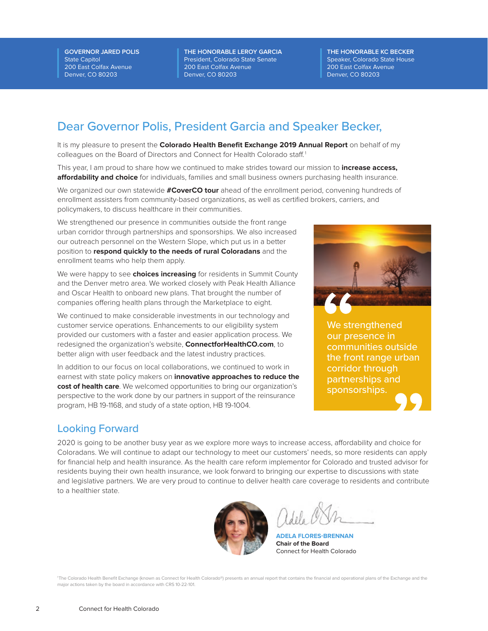**GOVERNOR JARED POLIS** State Capitol 200 East Colfax Avenue Denver, CO 80203

**THE HONORABLE LEROY GARCIA** President, Colorado State Senate 200 East Colfax Avenue Denver, CO 80203

**THE HONORABLE KC BECKER** Speaker, Colorado State House 200 East Colfax Avenue Denver, CO 80203

### Dear Governor Polis, President Garcia and Speaker Becker,

It is my pleasure to present the **Colorado Health Benefit Exchange 2019 Annual Report** on behalf of my colleagues on the Board of Directors and Connect for Health Colorado staff.<sup>1</sup>

This year, I am proud to share how we continued to make strides toward our mission to **increase access, affordability and choice** for individuals, families and small business owners purchasing health insurance.

We organized our own statewide **#CoverCO tour** ahead of the enrollment period, convening hundreds of enrollment assisters from community-based organizations, as well as certified brokers, carriers, and policymakers, to discuss healthcare in their communities.

We strengthened our presence in communities outside the front range urban corridor through partnerships and sponsorships. We also increased our outreach personnel on the Western Slope, which put us in a better position to **respond quickly to the needs of rural Coloradans** and the enrollment teams who help them apply.

We were happy to see **choices increasing** for residents in Summit County and the Denver metro area. We worked closely with Peak Health Alliance and Oscar Health to onboard new plans. That brought the number of companies offering health plans through the Marketplace to eight.

We continued to make considerable investments in our technology and customer service operations. Enhancements to our eligibility system provided our customers with a faster and easier application process. We redesigned the organization's website, **ConnectforHealthCO.com**, to better align with user feedback and the latest industry practices.

In addition to our focus on local collaborations, we continued to work in earnest with state policy makers on **innovative approaches to reduce the cost of health care**. We welcomed opportunities to bring our organization's perspective to the work done by our partners in support of the reinsurance program, HB 19-1168, and study of a state option, HB 19-1004.



We strengthened our presence in communities outside the front range urban corridor through partnerships and sponsorships.

#### Looking Forward

2020 is going to be another busy year as we explore more ways to increase access, affordability and choice for Coloradans. We will continue to adapt our technology to meet our customers' needs, so more residents can apply for financial help and health insurance. As the health care reform implementor for Colorado and trusted advisor for residents buying their own health insurance, we look forward to bringing our expertise to discussions with state and legislative partners. We are very proud to continue to deliver health care coverage to residents and contribute to a healthier state.



**ADELA FLORES-BRENNAN Chair of the Board** Connect for Health Colorado

1 The Colorado Health Benefit Exchange (known as Connect for Health Colorado®) presents an annual report that contains the financial and operational plans of the Exchange and the major actions taken by the board in accordance with CRS 10-22-101.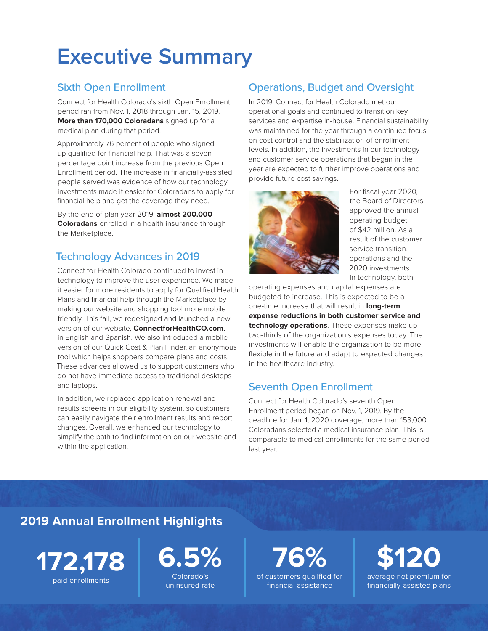# **Executive Summary**

### Sixth Open Enrollment

Connect for Health Colorado's sixth Open Enrollment period ran from Nov. 1, 2018 through Jan. 15, 2019. **More than 170,000 Coloradans** signed up for a medical plan during that period.

Approximately 76 percent of people who signed up qualified for financial help. That was a seven percentage point increase from the previous Open Enrollment period. The increase in financially-assisted people served was evidence of how our technology investments made it easier for Coloradans to apply for financial help and get the coverage they need.

By the end of plan year 2019, **almost 200,000 Coloradans** enrolled in a health insurance through the Marketplace.

### Technology Advances in 2019

Connect for Health Colorado continued to invest in technology to improve the user experience. We made it easier for more residents to apply for Qualified Health Plans and financial help through the Marketplace by making our website and shopping tool more mobile friendly. This fall, we redesigned and launched a new version of our website, **ConnectforHealthCO.com**, in English and Spanish. We also introduced a mobile version of our Quick Cost & Plan Finder, an anonymous tool which helps shoppers compare plans and costs. These advances allowed us to support customers who do not have immediate access to traditional desktops and laptops.

In addition, we replaced application renewal and results screens in our eligibility system, so customers can easily navigate their enrollment results and report changes. Overall, we enhanced our technology to simplify the path to find information on our website and within the application.

### Operations, Budget and Oversight

In 2019, Connect for Health Colorado met our operational goals and continued to transition key services and expertise in-house. Financial sustainability was maintained for the year through a continued focus on cost control and the stabilization of enrollment levels. In addition, the investments in our technology and customer service operations that began in the year are expected to further improve operations and provide future cost savings.



For fiscal year 2020, the Board of Directors approved the annual operating budget of \$42 million. As a result of the customer service transition, operations and the 2020 investments in technology, both

operating expenses and capital expenses are budgeted to increase. This is expected to be a one-time increase that will result in **long-term expense reductions in both customer service and technology operations**. These expenses make up two-thirds of the organization's expenses today. The investments will enable the organization to be more flexible in the future and adapt to expected changes in the healthcare industry.

### Seventh Open Enrollment

Connect for Health Colorado's seventh Open Enrollment period began on Nov. 1, 2019. By the deadline for Jan. 1, 2020 coverage, more than 153,000 Coloradans selected a medical insurance plan. This is comparable to medical enrollments for the same period last year.

### **2019 Annual Enrollment Highlights**

**172,178** paid enrollments



uninsured rate

**76%**  of customers qualified for financial assistance

**\$120**  average net premium for financially-assisted plans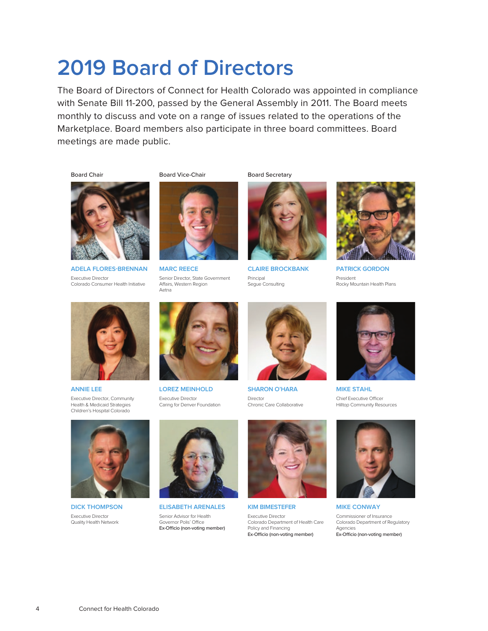# **2019 Board of Directors**

The Board of Directors of Connect for Health Colorado was appointed in compliance with Senate Bill 11-200, passed by the General Assembly in 2011. The Board meets monthly to discuss and vote on a range of issues related to the operations of the Marketplace. Board members also participate in three board committees. Board meetings are made public.

Board Chair



**ADELA FLORES-BRENNAN**  Executive Director Colorado Consumer Health Initiative





**MARC REECE** Senior Director, State Government Affairs, Western Region Aetna



Board Secretary

**CLAIRE BROCKBANK** Principal Segue Consulting



**PATRICK GORDON** President Rocky Mountain Health Plans



**ANNIE LEE** Executive Director, Community Health & Medicaid Strategies Children's Hospital Colorado



**LOREZ MEINHOLD** Executive Director Caring for Denver Foundation



**SHARON O'HARA** Director Chronic Care Collaborative



**MIKE STAHL** Chief Executive Officer Hilltop Community Resources



**DICK THOMPSON** Executive Director Quality Health Network



**ELISABETH ARENALES** Senior Advisor for Health Governor Polis' Office Ex-Officio (non-voting member)



**KIM BIMESTEFER** Executive Director Colorado Department of Health Care Policy and Financing Ex-Officio (non-voting member)



**MIKE CONWAY** Commissioner of Insurance Colorado Department of Regulatory Agencies Ex-Officio (non-voting member)

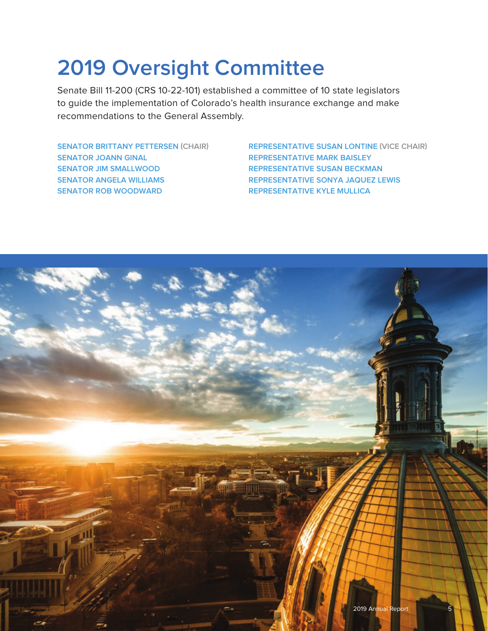# **2019 Oversight Committee**

Senate Bill 11-200 (CRS 10-22-101) established a committee of 10 state legislators to guide the implementation of Colorado's health insurance exchange and make recommendations to the General Assembly.

**SENATOR BRITTANY PETTERSEN (CHAIR) SENATOR JOANN GINAL SENATOR JIM SMALLWOOD SENATOR ANGELA WILLIAMS SENATOR ROB WOODWARD**

**REPRESENTATIVE SUSAN LONTINE (VICE CHAIR) REPRESENTATIVE MARK BAISLEY REPRESENTATIVE SUSAN BECKMAN REPRESENTATIVE SONYA JAQUEZ LEWIS REPRESENTATIVE KYLE MULLICA**

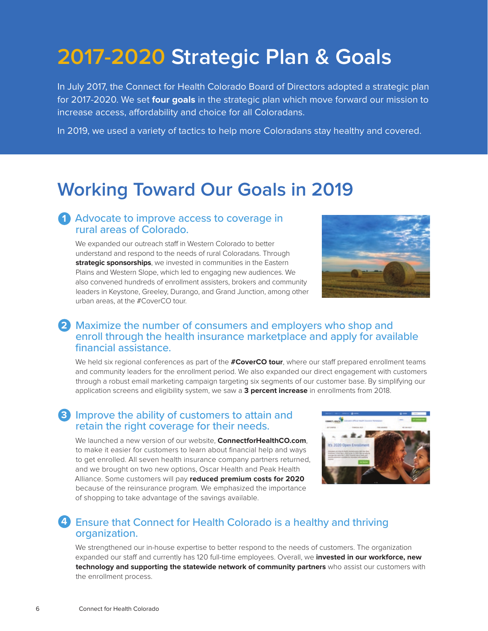# **2017-2020 Strategic Plan & Goals**

In July 2017, the Connect for Health Colorado Board of Directors adopted a strategic plan for 2017-2020. We set **four goals** in the strategic plan which move forward our mission to increase access, affordability and choice for all Coloradans.

In 2019, we used a variety of tactics to help more Coloradans stay healthy and covered.

### **Working Toward Our Goals in 2019**

### 1 Advocate to improve access to coverage in rural areas of Colorado.

We expanded our outreach staff in Western Colorado to better understand and respond to the needs of rural Coloradans. Through **strategic sponsorships**, we invested in communities in the Eastern Plains and Western Slope, which led to engaging new audiences. We also convened hundreds of enrollment assisters, brokers and community leaders in Keystone, Greeley, Durango, and Grand Junction, among other urban areas, at the #CoverCO tour.



### Maximize the number of consumers and employers who shop and **2** enroll through the health insurance marketplace and apply for available financial assistance.

We held six regional conferences as part of the **#CoverCO tour**, where our staff prepared enrollment teams and community leaders for the enrollment period. We also expanded our direct engagement with customers through a robust email marketing campaign targeting six segments of our customer base. By simplifying our application screens and eligibility system, we saw a **3 percent increase** in enrollments from 2018.

### **3** Improve the ability of customers to attain and retain the right coverage for their needs.

We launched a new version of our website, **ConnectforHealthCO.com**, to make it easier for customers to learn about financial help and ways to get enrolled. All seven health insurance company partners returned, and we brought on two new options, Oscar Health and Peak Health Alliance. Some customers will pay **reduced premium costs for 2020** because of the reinsurance program. We emphasized the importance of shopping to take advantage of the savings available.



### Ensure that Connect for Health Colorado is a healthy and thriving **4** organization.

We strengthened our in-house expertise to better respond to the needs of customers. The organization expanded our staff and currently has 120 full-time employees. Overall, we **invested in our workforce, new technology and supporting the statewide network of community partners** who assist our customers with the enrollment process.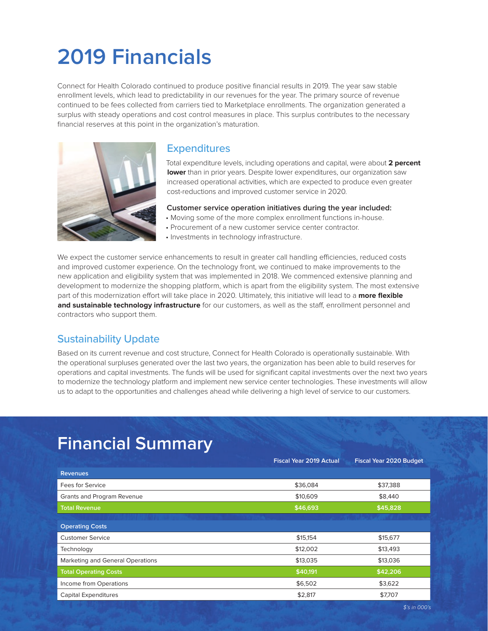# **2019 Financials**

Connect for Health Colorado continued to produce positive financial results in 2019. The year saw stable enrollment levels, which lead to predictability in our revenues for the year. The primary source of revenue continued to be fees collected from carriers tied to Marketplace enrollments. The organization generated a surplus with steady operations and cost control measures in place. This surplus contributes to the necessary financial reserves at this point in the organization's maturation.



#### **Expenditures**

Total expenditure levels, including operations and capital, were about **2 percent lower** than in prior years. Despite lower expenditures, our organization saw increased operational activities, which are expected to produce even greater cost-reductions and improved customer service in 2020.

#### **Customer service operation initiatives during the year included:**

- Moving some of the more complex enrollment functions in-house.
- Procurement of a new customer service center contractor.
- Investments in technology infrastructure.

We expect the customer service enhancements to result in greater call handling efficiencies, reduced costs and improved customer experience. On the technology front, we continued to make improvements to the new application and eligibility system that was implemented in 2018. We commenced extensive planning and development to modernize the shopping platform, which is apart from the eligibility system. The most extensive part of this modernization effort will take place in 2020. Ultimately, this initiative will lead to a **more flexible and sustainable technology infrastructure** for our customers, as well as the staff, enrollment personnel and contractors who support them.

### Sustainability Update

Based on its current revenue and cost structure, Connect for Health Colorado is operationally sustainable. With the operational surpluses generated over the last two years, the organization has been able to build reserves for operations and capital investments. The funds will be used for significant capital investments over the next two years to modernize the technology platform and implement new service center technologies. These investments will allow us to adapt to the opportunities and challenges ahead while delivering a high level of service to our customers.

### **Financial Summary**

|                                  | <b>Fiscal Year 2019 Actual</b> | <b>Fiscal Year 2020 Budget</b> |
|----------------------------------|--------------------------------|--------------------------------|
| <b>Revenues</b>                  |                                |                                |
| Fees for Service                 | \$36,084                       | \$37,388                       |
| Grants and Program Revenue       | \$10,609                       | \$8,440                        |
| <b>Total Revenue</b>             | \$46,693                       | \$45,828                       |
|                                  |                                |                                |
| <b>Operating Costs</b>           |                                |                                |
| <b>Customer Service</b>          | \$15,154                       | \$15,677                       |
| Technology                       | \$12,002                       | \$13,493                       |
| Marketing and General Operations | \$13,035                       | \$13,036                       |
| <b>Total Operating Costs</b>     | \$40,191                       | \$42,206                       |
| Income from Operations           | \$6,502                        | \$3,622                        |
| <b>Capital Expenditures</b>      | \$2,817                        | \$7,707                        |